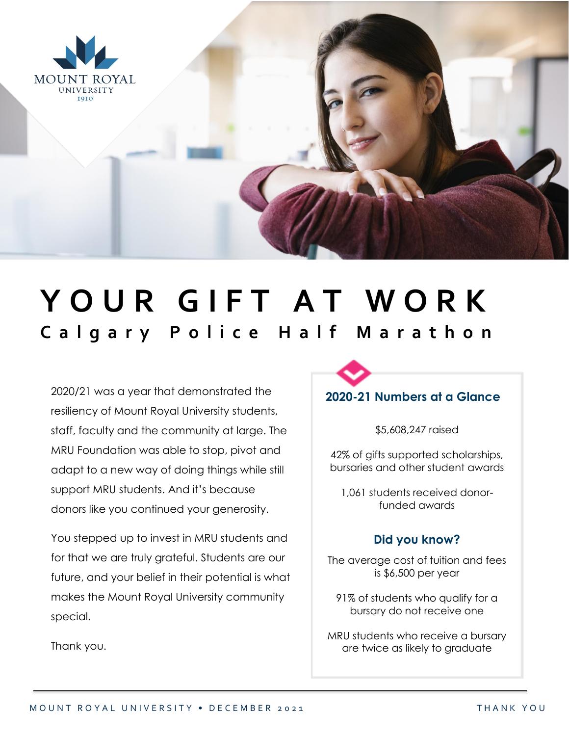

## YOUR GIFT AT WORK **C a l g a r y P o l i c e H a l f M a r a t h o n**

2020/21 was a year that demonstrated the resiliency of Mount Royal University students, staff, faculty and the community at large. The MRU Foundation was able to stop, pivot and adapt to a new way of doing things while still support MRU students. And it's because donors like you continued your generosity.

You stepped up to invest in MRU students and for that we are truly grateful. Students are our future, and your belief in their potential is what makes the Mount Royal University community special.

## **2020-21 Numbers at a Glance**

\$5,608,247 raised

42% of gifts supported scholarships, bursaries and other student awards

1,061 students received donorfunded awards

## **Did you know?**

The average cost of tuition and fees is \$6,500 per year

91% of students who qualify for a bursary do not receive one

MRU students who receive a bursary are twice as likely to graduate

Thank you.